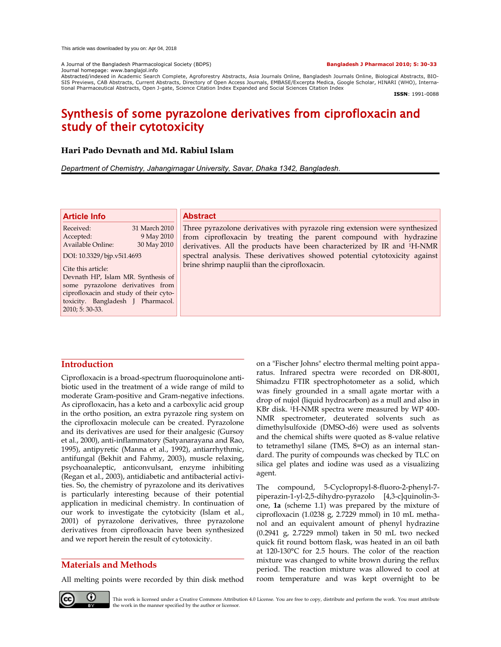A Journal of the Bangladesh Pharmacological Society (BDPS) **Bangladesh J Pharmacol 2010; 5: 30-33** Journal homepage: www.banglajol.info

Abstracted/indexed in Academic Search Complete, Agroforestry Abstracts, Asia Journals Online, Bangladesh Journals Online, Biological Abstracts, BIO-<br>SIS Previews, CAB Abstracts, Current Abstracts, Directory of Open Access tional Pharmaceutical Abstracts, Open J-gate, Science Citation Index Expanded and Social Sciences Citation Index

**ISSN**: 1991-0088

# Synthesis of some pyrazolone derivatives from ciprofloxacin and study of their cytotoxicity

# **Hari Pado Devnath and Md. Rabiul Islam**

*Department of Chemistry, Jahangirnagar University, Savar, Dhaka 1342, Bangladesh.*

### **Article Info**

Received: 31 March 2010 Accepted: 9 May 2010 Available Online: 30 May 2010

DOI: 10.3329/bjp.v5i1.4693

Cite this article:

Devnath HP, Islam MR. Synthesis of some pyrazolone derivatives from ciprofloxacin and study of their cytotoxicity. Bangladesh J Pharmacol. 2010; 5: 30-33.

# **Abstract**

Three pyrazolone derivatives with pyrazole ring extension were synthesized from ciprofloxacin by treating the parent compound with hydrazine derivatives. All the products have been characterized by IR and 1H-NMR spectral analysis. These derivatives showed potential cytotoxicity against brine shrimp nauplii than the ciprofloxacin.

# **Introduction**

Ciprofloxacin is a broad-spectrum fluoroquinolone antibiotic used in the treatment of a wide range of mild to moderate Gram-positive and Gram-negative infections. As ciprofloxacin, has a keto and a carboxylic acid group in the ortho position, an extra pyrazole ring system on the ciprofloxacin molecule can be created. Pyrazolone and its derivatives are used for their analgesic (Gursoy et al., 2000), anti-inflammatory (Satyanarayana and Rao, 1995), antipyretic (Manna et al., 1992), antiarrhythmic, antifungal (Bekhit and Fahmy, 2003), muscle relaxing, psychoanaleptic, anticonvulsant, enzyme inhibiting (Regan et al., 2003), antidiabetic and antibacterial activities. So, the chemistry of pyrazolone and its derivatives is particularly interesting because of their potential application in medicinal chemistry. In continuation of our work to investigate the cytotxicity (Islam et al., 2001) of pyrazolone derivatives, three pyrazolone derivatives from ciprofloxacin have been synthesized and we report herein the result of cytotoxicity.

# **Materials and Methods**

All melting points were recorded by thin disk method

on a "Fischer Johns" electro thermal melting point apparatus. Infrared spectra were recorded on DR-8001, Shimadzu FTIR spectrophotometer as a solid, which was finely grounded in a small agate mortar with a drop of nujol (liquid hydrocarbon) as a mull and also in KBr disk. 1H-NMR spectra were measured by WP 400- NMR spectrometer, deuterated solvents such as dimethylsulfoxide (DMSO-d6) were used as solvents and the chemical shifts were quoted as 8-value relative to tetramethyl silane (TMS, 8=O) as an internal standard. The purity of compounds was checked by TLC on silica gel plates and iodine was used as a visualizing agent.

The compound, 5-Cyclopropyl-8-fluoro-2-phenyl-7 piperazin-1-yl-2,5-dihydro-pyrazolo [4,3-c]quinolin-3 one, **1a** (scheme 1.1) was prepared by the mixture of ciprofloxacin (1.0238 g, 2.7229 mmol) in 10 mL methanol and an equivalent amount of phenyl hydrazine (0.2941 g, 2.7229 mmol) taken in 50 mL two necked quick fit round bottom flask, was heated in an oil bath at 120-130°C for 2.5 hours. The color of the reaction mixture was changed to white brown during the reflux period. The reaction mixture was allowed to cool at room temperature and was kept overnight to be



This work is licensed under a Creative Commons Attribution 4.0 License. You are free to copy, distribute and perform the work. You must attribute the work in the manner specified by the author or licensor.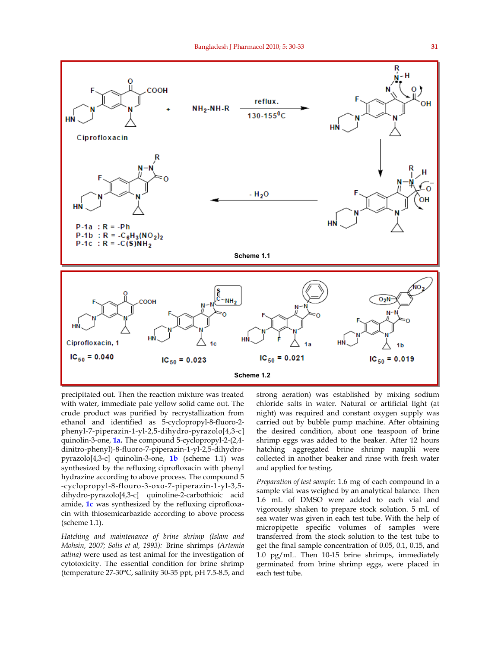

precipitated out. Then the reaction mixture was treated with water, immediate pale yellow solid came out. The crude product was purified by recrystallization from ethanol and identified as 5-cyclopropyl-8-fluoro-2 phenyl-7-piperazin-1-yl-2,5-dihydro-pyrazolo[4,3-c] quinolin-3-one, **1a.** The compound 5-cyclopropyl-2-(2,4 dinitro-phenyl)-8-fluoro-7-piperazin-1-yl-2,5-dihydropyrazolo[4,3-c] quinolin-3-one, **1b** (scheme 1.1) was synthesized by the refluxing ciprofloxacin with phenyl hydrazine according to above process. The compound 5 -cyclopropyl-8-flouro-3-oxo-7-piperazin-1-yl-3,5 dihydro-pyrazolo[4,3-c] quinoline-2-carbothioic acid amide, **1c** was synthesized by the refluxing ciprofloxacin with thiosemicarbazide according to above process (scheme 1.1).

*Hatching and maintenance of brine shrimp (Islam and Mohsin, 2007; Solis et al, 1993):* Brine shrimps *(Artemia salina)* were used as test animal for the investigation of cytotoxicity. The essential condition for brine shrimp (temperature 27-30°C, salinity 30-35 ppt, pH 7.5-8.5, and

strong aeration) was established by mixing sodium chloride salts in water. Natural or artificial light (at night) was required and constant oxygen supply was carried out by bubble pump machine. After obtaining the desired condition, about one teaspoon of brine shrimp eggs was added to the beaker. After 12 hours hatching aggregated brine shrimp nauplii were collected in another beaker and rinse with fresh water and applied for testing.

*Preparation of test sample:* 1.6 mg of each compound in a sample vial was weighed by an analytical balance. Then 1.6 mL of DMSO were added to each vial and vigorously shaken to prepare stock solution. 5 mL of sea water was given in each test tube. With the help of micropipette specific volumes of samples were transferred from the stock solution to the test tube to get the final sample concentration of 0.05, 0.1, 0.15, and 1.0 pg/mL. Then 10-15 brine shrimps, immediately germinated from brine shrimp eggs, were placed in each test tube.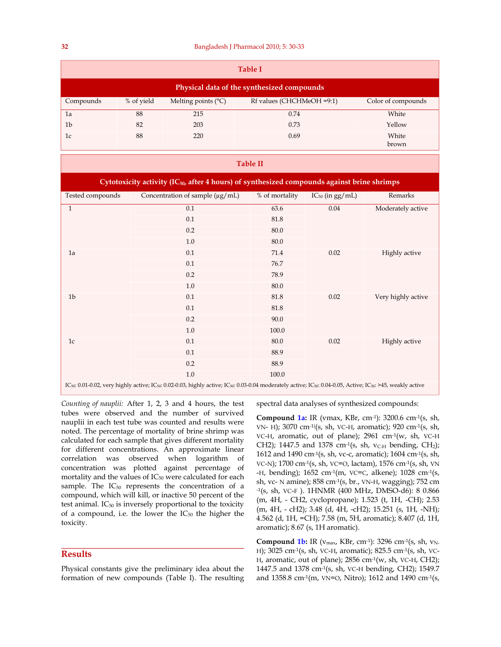| <b>Table I</b>                             |            |                              |                           |                    |  |  |  |
|--------------------------------------------|------------|------------------------------|---------------------------|--------------------|--|--|--|
| Physical data of the synthesized compounds |            |                              |                           |                    |  |  |  |
| Compounds                                  | % of yield | Melting points $(^{\circ}C)$ | Rf values (CHCHMeOH =9:1) | Color of compounds |  |  |  |
| 1a                                         | 88         | 215                          | 0.74                      | White              |  |  |  |
| 1 <sub>b</sub>                             | 82         | 203                          | 0.73                      | Yellow             |  |  |  |
| 1c                                         | 88         | 220                          | 0.69                      | White<br>brown     |  |  |  |

#### **Table II**

| Cytotoxicity activity (IC <sub>50</sub> , after 4 hours) of synthesized compounds against brine shrimps                                                                                                                    |                                      |                |                      |                    |  |  |  |
|----------------------------------------------------------------------------------------------------------------------------------------------------------------------------------------------------------------------------|--------------------------------------|----------------|----------------------|--------------------|--|--|--|
| Tested compounds                                                                                                                                                                                                           | Concentration of sample $(\mu g/mL)$ | % of mortality | $IC_{50}$ (in gg/mL) | Remarks            |  |  |  |
| $\mathbf{1}$                                                                                                                                                                                                               | 0.1                                  | 63.6           | 0.04                 | Moderately active  |  |  |  |
|                                                                                                                                                                                                                            | 0.1                                  | 81.8           |                      |                    |  |  |  |
|                                                                                                                                                                                                                            | 0.2                                  | 80.0           |                      |                    |  |  |  |
|                                                                                                                                                                                                                            | 1.0                                  | 80.0           |                      |                    |  |  |  |
| 1a                                                                                                                                                                                                                         | 0.1                                  | 71.4           | 0.02                 | Highly active      |  |  |  |
|                                                                                                                                                                                                                            | 0.1                                  | 76.7           |                      |                    |  |  |  |
|                                                                                                                                                                                                                            | 0.2                                  | 78.9           |                      |                    |  |  |  |
|                                                                                                                                                                                                                            | $1.0\,$                              | 80.0           |                      |                    |  |  |  |
| 1 <sub>b</sub>                                                                                                                                                                                                             | 0.1                                  | 81.8           | 0.02                 | Very highly active |  |  |  |
|                                                                                                                                                                                                                            | 0.1                                  | 81.8           |                      |                    |  |  |  |
|                                                                                                                                                                                                                            | 0.2                                  | 90.0           |                      |                    |  |  |  |
|                                                                                                                                                                                                                            | 1.0                                  | 100.0          |                      |                    |  |  |  |
| 1c                                                                                                                                                                                                                         | 0.1                                  | 80.0           | 0.02                 | Highly active      |  |  |  |
|                                                                                                                                                                                                                            | 0.1                                  | 88.9           |                      |                    |  |  |  |
|                                                                                                                                                                                                                            | 0.2                                  | 88.9           |                      |                    |  |  |  |
|                                                                                                                                                                                                                            | 1.0                                  | 100.0          |                      |                    |  |  |  |
| IC <sub>50</sub> : 0.01-0.02, very highly active; IC <sub>50</sub> : 0.02-0.03, highly active; IC <sub>50</sub> : 0.03-0.04 moderately active; IC <sub>50</sub> : 0.04-0.05, Active; IC <sub>50</sub> : >45, weakly active |                                      |                |                      |                    |  |  |  |

*Counting of nauplii:* After 1, 2, 3 and 4 hours, the test tubes were observed and the number of survived nauplii in each test tube was counted and results were noted. The percentage of mortality of brine shrimp was calculated for each sample that gives different mortality for different concentrations. An approximate linear correlation was observed when logarithm of concentration was plotted against percentage of mortality and the values of IC<sub>50</sub> were calculated for each sample. The  $IC_{50}$  represents the concentration of a compound, which will kill, or inactive 50 percent of the test animal.  $IC_{50}$  is inversely proportional to the toxicity of a compound, i.e. the lower the  $IC_{50}$  the higher the toxicity.

# **Results**

Physical constants give the preliminary idea about the formation of new compounds (Table I). The resulting spectral data analyses of synthesized compounds:

**Compound 1a:** IR (vmax, KBr, cm-1): 3200.6 cm-1(s, sh, VN- H); 3070 cm-1((s, sh, VC-H, aromatic); 920 cm-1(s, sh, VC-H, aromatic, out of plane); 2961 cm-1(w, sh, VC-H CH2); 1447.5 and 1378 cm<sup>-1</sup>(s, sh,  $v_{C-H}$  bending, CH<sub>2</sub>); 1612 and 1490 cm-1(s, sh, vc-c, aromatic); 1604 cm-1(s, sh, VC-N); 1700 cm-1(s, sh, VC=O, lactam), 1576 cm-1(s, sh, VN -H, bending);  $1652 \text{ cm}^{-1}$ (m, VC=C, alkene);  $1028 \text{ cm}^{-1}$ (s, sh, vc- N amine); 858 cm-1(s, br., VN-H, wagging); 752 cm -1(s, sh, VC-F ). 1HNMR (400 MHz, DMSO-d6): 8 0.866 (m, 4H, - CH2, cyclopropane); 1.523 (t, 1H, -CH); 2.53 (m, 4H, - cH2); 3.48 (d, 4H, -cH2); 15.251 (s, 1H, -NH); 4.562 (d, 1H, =CH); 7.58 (m, 5H, aromatic); 8.407 (d, 1H, aromatic); 8.67 (s, 1H aromatic).

Compound 1b: IR ( $v_{\text{max}}$ , KBr, cm<sup>-1</sup>): 3296 cm<sup>-1</sup>(s, sh,  $v_{\text{N}}$ . H); 3025 cm-1(s, sh, VC-H, aromatic); 825.5 cm-1(s, sh, VC-H, aromatic, out of plane); 2856 cm-1(w, sh, VC-H, CH2); 1447.5 and 1378 cm-1(s, sh, VC-H bending, CH2); 1549.7 and 1358.8 cm-1(m, VN=O, Nitro); 1612 and 1490 cm-1(s,